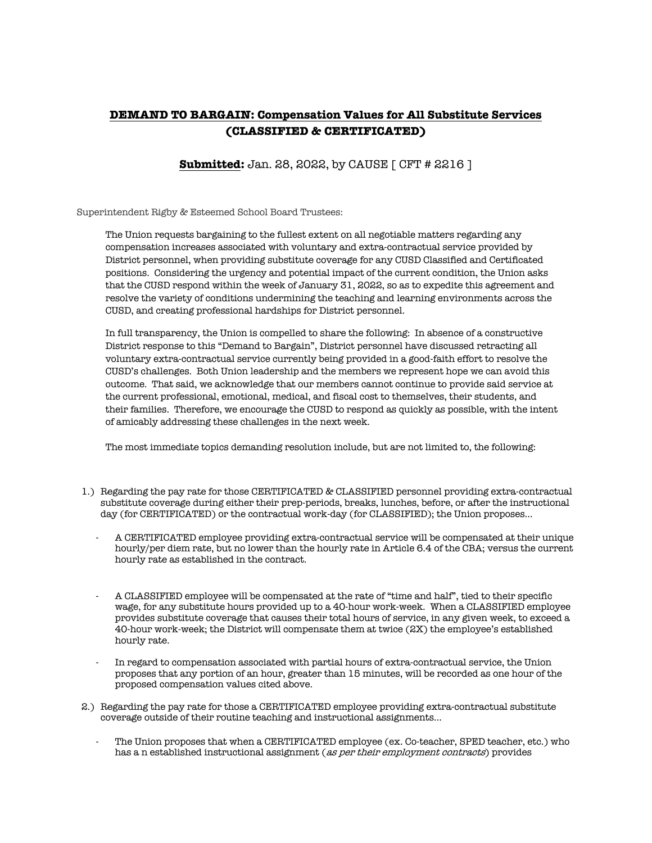## **DEMAND TO BARGAIN: Compensation Values for All Substitute Services (CLASSIFIED & CERTIFICATED)**

## **Submitted:** Jan. 28, 2022, by CAUSE [ CFT # 2216 ]

Superintendent Rigby & Esteemed School Board Trustees:

The Union requests bargaining to the fullest extent on all negotiable matters regarding any compensation increases associated with voluntary and extra-contractual service provided by District personnel, when providing substitute coverage for any CUSD Classified and Certificated positions. Considering the urgency and potential impact of the current condition, the Union asks that the CUSD respond within the week of January 31, 2022, so as to expedite this agreement and resolve the variety of conditions undermining the teaching and learning environments across the CUSD, and creating professional hardships for District personnel.

In full transparency, the Union is compelled to share the following: In absence of a constructive District response to this "Demand to Bargain", District personnel have discussed retracting all voluntary extra-contractual service currently being provided in a good-faith effort to resolve the CUSD's challenges. Both Union leadership and the members we represent hope we can avoid this outcome. That said, we acknowledge that our members cannot continue to provide said service at the current professional, emotional, medical, and fiscal cost to themselves, their students, and their families. Therefore, we encourage the CUSD to respond as quickly as possible, with the intent of amicably addressing these challenges in the next week.

The most immediate topics demanding resolution include, but are not limited to, the following:

- 1.) Regarding the pay rate for those CERTIFICATED & CLASSIFIED personnel providing extra-contractual substitute coverage during either their prep-periods, breaks, lunches, before, or after the instructional day (for CERTIFICATED) or the contractual work-day (for CLASSIFIED); the Union proposes…
	- A CERTIFICATED employee providing extra-contractual service will be compensated at their unique hourly/per diem rate, but no lower than the hourly rate in Article 6.4 of the CBA; versus the current hourly rate as established in the contract.
	- A CLASSIFIED employee will be compensated at the rate of "time and half", tied to their specific wage, for any substitute hours provided up to a 40-hour work-week. When a CLASSIFIED employee provides substitute coverage that causes their total hours of service, in any given week, to exceed a 40-hour work-week; the District will compensate them at twice (2X) the employee's established hourly rate.
	- In regard to compensation associated with partial hours of extra-contractual service, the Union proposes that any portion of an hour, greater than 15 minutes, will be recorded as one hour of the proposed compensation values cited above.
- 2.) Regarding the pay rate for those a CERTIFICATED employee providing extra-contractual substitute coverage outside of their routine teaching and instructional assignments…
	- The Union proposes that when a CERTIFICATED employee (ex. Co-teacher, SPED teacher, etc.) who has a n established instructional assignment (as per their employment contracts) provides